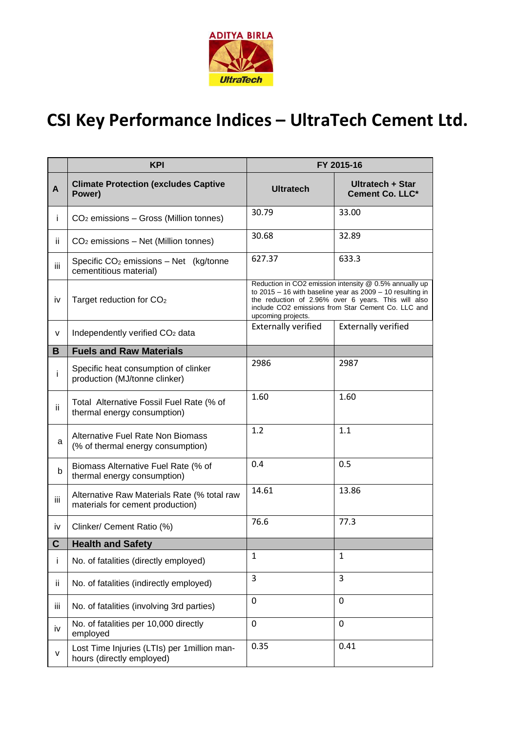

## **CSI Key Performance Indices – UltraTech Cement Ltd.**

|     | <b>KPI</b>                                                                      | FY 2015-16                                                                                                                                                                                                                                                 |                                     |
|-----|---------------------------------------------------------------------------------|------------------------------------------------------------------------------------------------------------------------------------------------------------------------------------------------------------------------------------------------------------|-------------------------------------|
| A   | <b>Climate Protection (excludes Captive</b><br>Power)                           | <b>Ultratech</b>                                                                                                                                                                                                                                           | Ultratech + Star<br>Cement Co. LLC* |
| Ť   | CO <sub>2</sub> emissions - Gross (Million tonnes)                              | 30.79                                                                                                                                                                                                                                                      | 33.00                               |
| ij. | CO <sub>2</sub> emissions - Net (Million tonnes)                                | 30.68                                                                                                                                                                                                                                                      | 32.89                               |
| iii | Specific $CO2$ emissions – Net (kg/tonne<br>cementitious material)              | 627.37                                                                                                                                                                                                                                                     | 633.3                               |
| iv  | Target reduction for CO <sub>2</sub>                                            | Reduction in CO2 emission intensity @ 0.5% annually up<br>to $2015 - 16$ with baseline year as $2009 - 10$ resulting in<br>the reduction of 2.96% over 6 years. This will also<br>include CO2 emissions from Star Cement Co. LLC and<br>upcoming projects. |                                     |
| V   | Independently verified CO <sub>2</sub> data                                     | <b>Externally verified</b>                                                                                                                                                                                                                                 | <b>Externally verified</b>          |
| B   | <b>Fuels and Raw Materials</b>                                                  |                                                                                                                                                                                                                                                            |                                     |
| İ.  | Specific heat consumption of clinker<br>production (MJ/tonne clinker)           | 2986                                                                                                                                                                                                                                                       | 2987                                |
| ii  | Total Alternative Fossil Fuel Rate (% of<br>thermal energy consumption)         | 1.60                                                                                                                                                                                                                                                       | 1.60                                |
| a   | Alternative Fuel Rate Non Biomass<br>(% of thermal energy consumption)          | 1.2                                                                                                                                                                                                                                                        | 1.1                                 |
| b   | Biomass Alternative Fuel Rate (% of<br>thermal energy consumption)              | 0.4                                                                                                                                                                                                                                                        | 0.5                                 |
| iii | Alternative Raw Materials Rate (% total raw<br>materials for cement production) | 14.61                                                                                                                                                                                                                                                      | 13.86                               |
| iv  | Clinker/ Cement Ratio (%)                                                       | 76.6                                                                                                                                                                                                                                                       | 77.3                                |
| C   | <b>Health and Safety</b>                                                        |                                                                                                                                                                                                                                                            |                                     |
| Ť   | No. of fatalities (directly employed)                                           | $\mathbf{1}$                                                                                                                                                                                                                                               | $\mathbf{1}$                        |
| ij. | No. of fatalities (indirectly employed)                                         | 3                                                                                                                                                                                                                                                          | 3                                   |
| iii | No. of fatalities (involving 3rd parties)                                       | 0                                                                                                                                                                                                                                                          | $\mathbf 0$                         |
| iv  | No. of fatalities per 10,000 directly<br>employed                               | 0                                                                                                                                                                                                                                                          | 0                                   |
| v   | Lost Time Injuries (LTIs) per 1 million man-<br>hours (directly employed)       | 0.35                                                                                                                                                                                                                                                       | 0.41                                |